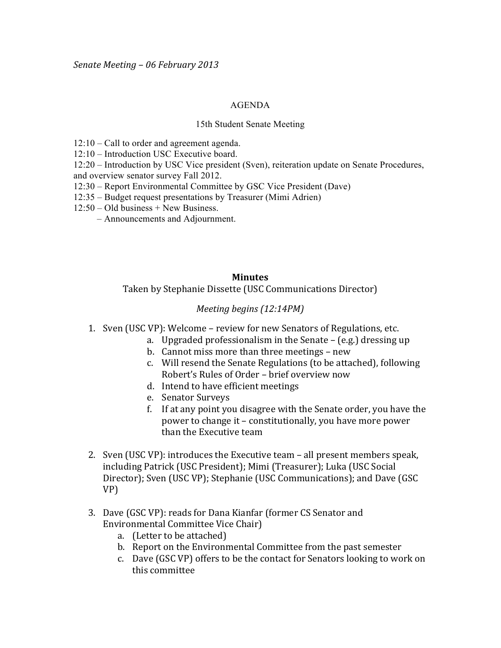## AGENDA

## 15th Student Senate Meeting

- 12:10 Call to order and agreement agenda.
- 12:10 Introduction USC Executive board.
- 12:20 Introduction by USC Vice president (Sven), reiteration update on Senate Procedures, and overview senator survey Fall 2012.
- 12:30 Report Environmental Committee by GSC Vice President (Dave)
- 12:35 Budget request presentations by Treasurer (Mimi Adrien)
- $12:50 Old business + New Business.$ 
	- Announcements and Adjournment.

## **Minutes**

Taken by Stephanie Dissette (USC Communications Director)

## *Meeting begins (12:14PM)*

- 1. Sven (USC VP): Welcome review for new Senators of Regulations, etc.
	- a. Upgraded professionalism in the Senate (e.g.) dressing up
	- b. Cannot miss more than three meetings new
	- c. Will resend the Senate Regulations (to be attached), following Robert's Rules of Order – brief overview now
	- d. Intend to have efficient meetings
	- e. Senator Surveys
	- f. If at any point you disagree with the Senate order, you have the power to change it – constitutionally, you have more power than the Executive team
- 2. Sven (USC VP): introduces the Executive team all present members speak, including Patrick (USC President); Mimi (Treasurer); Luka (USC Social Director); Sven (USC VP); Stephanie (USC Communications); and Dave (GSC VP)
- 3. Dave (GSC VP): reads for Dana Kianfar (former CS Senator and Environmental Committee Vice Chair)
	- a. (Letter to be attached)
	- b. Report on the Environmental Committee from the past semester
	- c. Dave (GSC VP) offers to be the contact for Senators looking to work on this!committee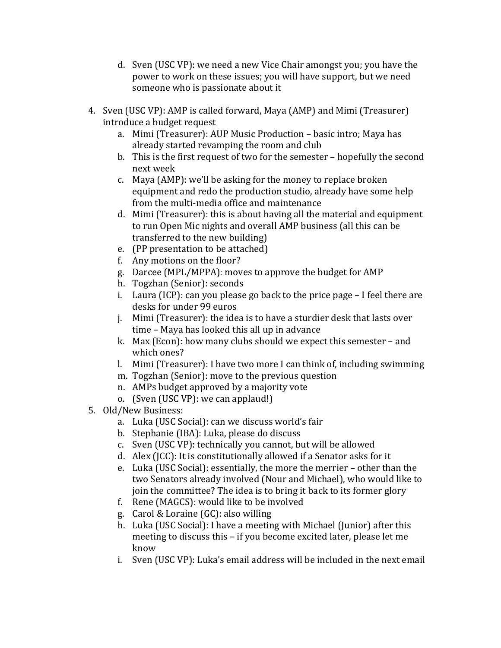- d. Sven (USC VP): we need a new Vice Chair amongst you; you have the power to work on these issues; you will have support, but we need someone who is passionate about it
- 4. Sven (USC VP): AMP is called forward, Maya (AMP) and Mimi (Treasurer) ! introduce a budget request
	- a. Mimi (Treasurer): AUP Music Production basic intro; Maya has already started revamping the room and club
	- b. This is the first request of two for the semester hopefully the second next!week
	- c. Maya (AMP): we'll be asking for the money to replace broken equipment and redo the production studio, already have some help from the multi-media office and maintenance
	- d. Mimi (Treasurer): this is about having all the material and equipment to run Open Mic nights and overall AMP business (all this can be transferred to the new building)
	- e. (PP presentation to be attached)
	- f. Any motions on the floor?
	- g. Darcee (MPL/MPPA): moves to approve the budget for AMP
	- h. Togzhan (Senior): seconds
	- i. Laura (ICP): can you please go back to the price page  $-$  I feel there are desks for under 99 euros
	- j. Mimi (Treasurer): the idea is to have a sturdier desk that lasts over time – Maya has looked this all up in advance
	- k. Max (Econ): how many clubs should we expect this semester and which ones?
	- l. Mimi (Treasurer): I have two more I can think of, including swimming
	- m. Togzhan (Senior): move to the previous question
	- n. AMPs budget approved by a majority vote
	- o. (Sven (USC VP): we can applaud!)
- 5. Old/New Business:
	- a. Luka (USC Social): can we discuss world's fair
	- b. Stephanie (IBA): Luka, please do discuss
	- c. Sven (USC VP): technically you cannot, but will be allowed
	- d. Alex (JCC): It is constitutionally allowed if a Senator asks for it
	- e. Luka (USC Social): essentially, the more the merrier other than the two Senators already involved (Nour and Michael), who would like to join the committee? The idea is to bring it back to its former glory
	- f. Rene (MAGCS): would like to be involved
	- g. Carol & Loraine (GC): also willing
	- h. Luka (USC Social): I have a meeting with Michael (Junior) after this meeting to discuss this – if you become excited later, please let me know
	- i. Sven (USC VP): Luka's email address will be included in the next email